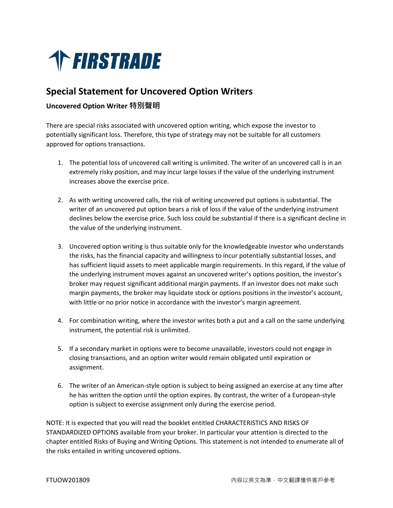

## **Special Statement for Uncovered Option Writers**

## **Uncovered Option Writer 特別聲明**

There are special risks associated with uncovered option writing, which expose the investor to potentially significant loss. Therefore, this type of strategy may not be suitable for all customers approved for options transactions.

- 1. The potential loss of uncovered call writing is unlimited. The writer of an uncovered call is in an extremely risky position, and may incur large losses if the value of the underlying instrument increases above the exercise price.
- 2. As with writing uncovered calls, the risk of writing uncovered put options is substantial. The writer of an uncovered put option bears a risk of loss if the value of the underlying instrument declines below the exercise price. Such loss could be substantial if there is a significant decline in the value of the underlying instrument.
- 3. Uncovered option writing is thus suitable only for the knowledgeable investor who understands the risks, has the financial capacity and willingness to incur potentially substantial losses, and has sufficient liquid assets to meet applicable margin requirements. In this regard, if the value of the underlying instrument moves against an uncovered writer's options position, the investor's broker may request significant additional margin payments. If an investor does not make such margin payments, the broker may liquidate stock or options positions in the investor's account, with little or no prior notice in accordance with the investor's margin agreement.
- 4. For combination writing, where the investor writes both a put and a call on the same underlying instrument, the potential risk is unlimited.
- 5. If a secondary market in options were to become unavailable, investors could not engage in closing transactions, and an option writer would remain obligated until expiration or assignment.
- 6. The writer of an American-style option is subject to being assigned an exercise at any time after he has written the option until the option expires. By contrast, the writer of a European-style option is subject to exercise assignment only during the exercise period.

NOTE: It is expected that you will read the booklet entitled CHARACTERISTICS AND RISKS OF STANDARDIZED OPTIONS available from your broker. In particular your attention is directed to the chapter entitled Risks of Buying and Writing Options. This statement is not intended to enumerate all of the risks entailed in writing uncovered options.